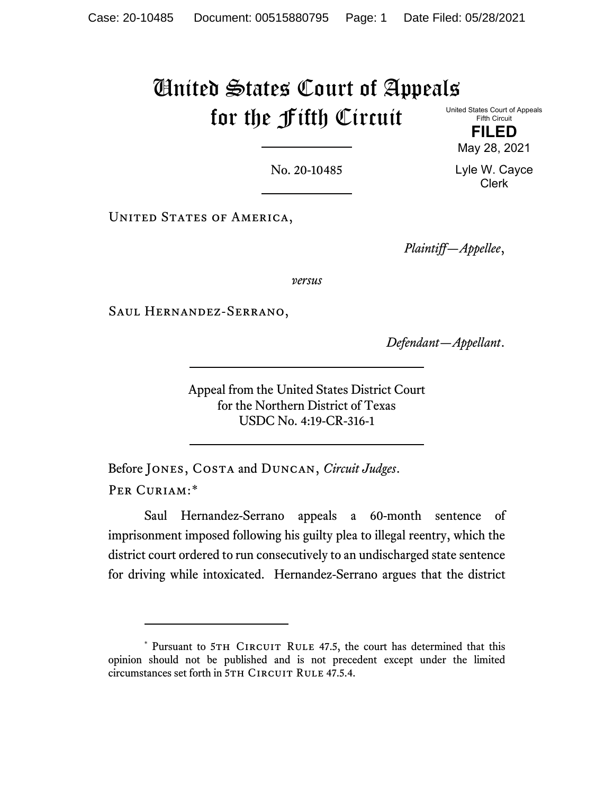# United States Court of Appeals for the Fifth Circuit United States Court of Appeals

Fifth Circuit **FILED**

May 28, 2021

Lyle W. Cayce Clerk

No. 20-10485

UNITED STATES OF AMERICA,

*Plaintiff—Appellee*,

*versus*

Saul Hernandez-Serrano,

*Defendant—Appellant*.

Appeal from the United States District Court for the Northern District of Texas USDC No. 4:19-CR-316-1

Before Jones, Costa and Duncan, *Circuit Judges*. PER CURIAM:[\\*](#page-0-0)

Saul Hernandez-Serrano appeals a 60-month sentence of imprisonment imposed following his guilty plea to illegal reentry, which the district court ordered to run consecutively to an undischarged state sentence for driving while intoxicated. Hernandez-Serrano argues that the district

<span id="page-0-0"></span><sup>\*</sup> Pursuant to 5TH CIRCUIT RULE 47.5, the court has determined that this opinion should not be published and is not precedent except under the limited circumstances set forth in 5TH CIRCUIT RULE 47.5.4.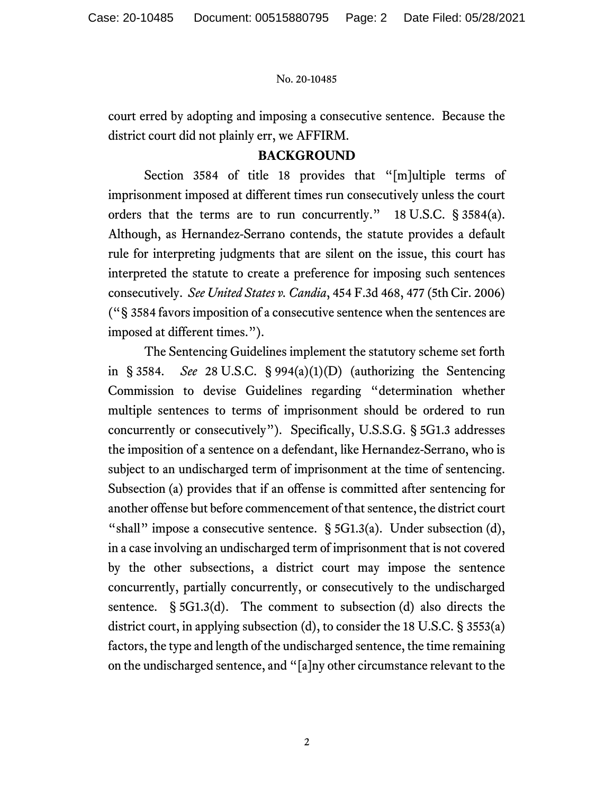court erred by adopting and imposing a consecutive sentence. Because the district court did not plainly err, we AFFIRM.

# **BACKGROUND**

Section 3584 of title 18 provides that "[m]ultiple terms of imprisonment imposed at different times run consecutively unless the court orders that the terms are to run concurrently." 18 U.S.C. § 3584(a). Although, as Hernandez-Serrano contends, the statute provides a default rule for interpreting judgments that are silent on the issue, this court has interpreted the statute to create a preference for imposing such sentences consecutively. *See United States v. Candia*, 454 F.3d 468, 477 (5th Cir. 2006) ("§ 3584 favors imposition of a consecutive sentence when the sentences are imposed at different times.").

The Sentencing Guidelines implement the statutory scheme set forth in § 3584. *See* 28 U.S.C. § 994(a)(1)(D) (authorizing the Sentencing Commission to devise Guidelines regarding "determination whether multiple sentences to terms of imprisonment should be ordered to run concurrently or consecutively"). Specifically, U.S.S.G. § 5G1.3 addresses the imposition of a sentence on a defendant, like Hernandez-Serrano, who is subject to an undischarged term of imprisonment at the time of sentencing. Subsection (a) provides that if an offense is committed after sentencing for another offense but before commencement of that sentence, the district court "shall" impose a consecutive sentence. § 5G1.3(a). Under subsection (d), in a case involving an undischarged term of imprisonment that is not covered by the other subsections, a district court may impose the sentence concurrently, partially concurrently, or consecutively to the undischarged sentence. § 5G1.3(d). The comment to subsection (d) also directs the district court, in applying subsection (d), to consider the 18 U.S.C. § 3553(a) factors, the type and length of the undischarged sentence, the time remaining on the undischarged sentence, and "[a]ny other circumstance relevant to the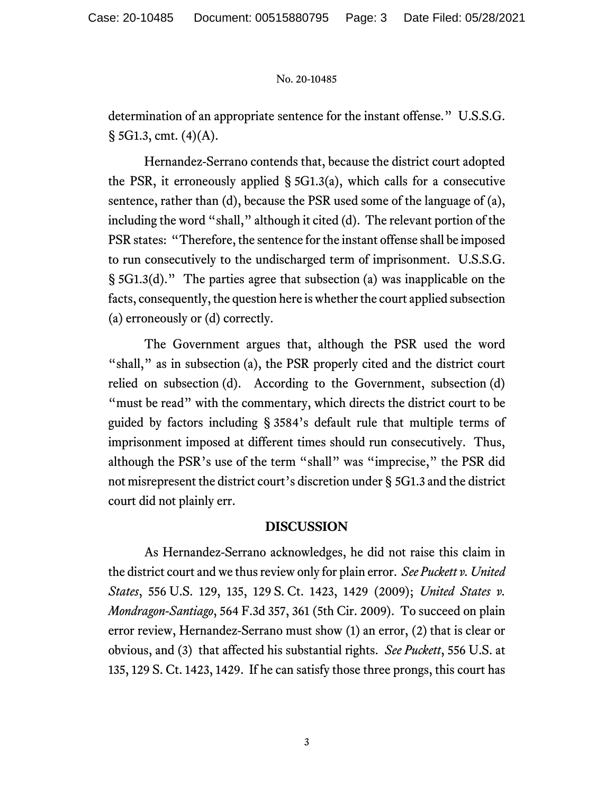determination of an appropriate sentence for the instant offense." U.S.S.G.  $\S$  5G1.3, cmt. (4)(A).

Hernandez-Serrano contends that, because the district court adopted the PSR, it erroneously applied § 5G1.3(a), which calls for a consecutive sentence, rather than (d), because the PSR used some of the language of (a), including the word "shall," although it cited (d). The relevant portion of the PSR states: "Therefore, the sentence for the instant offense shall be imposed to run consecutively to the undischarged term of imprisonment. U.S.S.G. § 5G1.3(d)." The parties agree that subsection (a) was inapplicable on the facts, consequently, the question here is whether the court applied subsection (a) erroneously or (d) correctly.

The Government argues that, although the PSR used the word "shall," as in subsection (a), the PSR properly cited and the district court relied on subsection (d). According to the Government, subsection (d) "must be read" with the commentary, which directs the district court to be guided by factors including § 3584's default rule that multiple terms of imprisonment imposed at different times should run consecutively. Thus, although the PSR's use of the term "shall" was "imprecise," the PSR did not misrepresent the district court's discretion under § 5G1.3 and the district court did not plainly err.

# **DISCUSSION**

As Hernandez-Serrano acknowledges, he did not raise this claim in the district court and we thus review only for plain error. *See Puckett v. United States*, 556 U.S. 129, 135, 129 S. Ct. 1423, 1429 (2009); *United States v. Mondragon-Santiago*, 564 F.3d 357, 361 (5th Cir. 2009). To succeed on plain error review, Hernandez-Serrano must show (1) an error, (2) that is clear or obvious, and (3) that affected his substantial rights. *See Puckett*, 556 U.S. at 135, 129 S. Ct. 1423, 1429. If he can satisfy those three prongs, this court has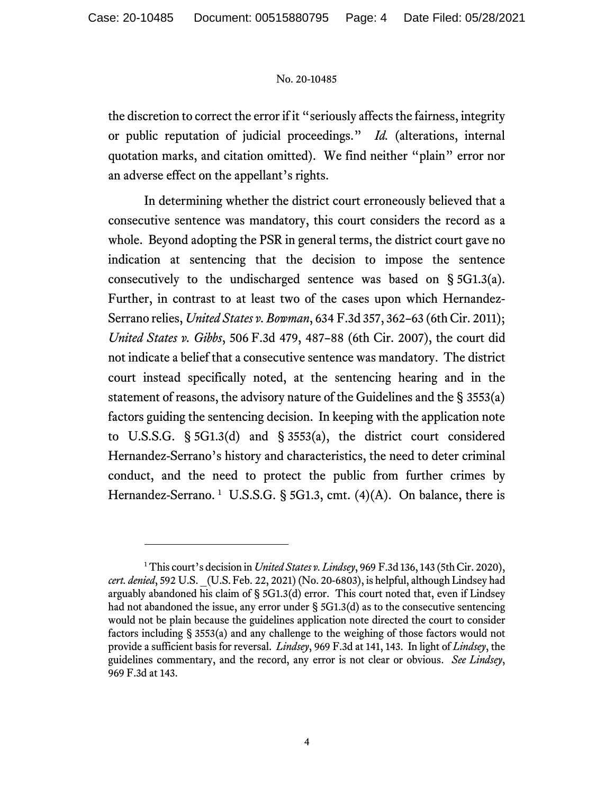the discretion to correct the error if it "seriously affects the fairness, integrity or public reputation of judicial proceedings." *Id.* (alterations, internal quotation marks, and citation omitted). We find neither "plain" error nor an adverse effect on the appellant's rights.

In determining whether the district court erroneously believed that a consecutive sentence was mandatory, this court considers the record as a whole. Beyond adopting the PSR in general terms, the district court gave no indication at sentencing that the decision to impose the sentence consecutively to the undischarged sentence was based on § 5G1.3(a). Further, in contrast to at least two of the cases upon which Hernandez-Serrano relies, *United States v. Bowman*, 634 F.3d 357, 362–63 (6th Cir. 2011); *United States v. Gibbs*, 506 F.3d 479, 487–88 (6th Cir. 2007), the court did not indicate a belief that a consecutive sentence was mandatory. The district court instead specifically noted, at the sentencing hearing and in the statement of reasons, the advisory nature of the Guidelines and the § 3553(a) factors guiding the sentencing decision. In keeping with the application note to U.S.S.G. § 5G1.3(d) and § 3553(a), the district court considered Hernandez-Serrano's history and characteristics, the need to deter criminal conduct, and the need to protect the public from further crimes by Hernandez-Serrano.  $1$  U.S.S.G. § 5G1.3, cmt. (4)(A). On balance, there is

<span id="page-3-0"></span><sup>1</sup> This court's decision in *United States v. Lindsey*, 969 F.3d 136, 143 (5th Cir. 2020), *cert. denied*, 592 U.S. \_(U.S. Feb. 22, 2021) (No. 20-6803), is helpful, although Lindsey had arguably abandoned his claim of § 5G1.3(d) error. This court noted that, even if Lindsey had not abandoned the issue, any error under § 5G1.3(d) as to the consecutive sentencing would not be plain because the guidelines application note directed the court to consider factors including § 3553(a) and any challenge to the weighing of those factors would not provide a sufficient basis for reversal. *Lindsey*, 969 F.3d at 141, 143. In light of *Lindsey*, the guidelines commentary, and the record, any error is not clear or obvious. *See Lindsey*, 969 F.3d at 143.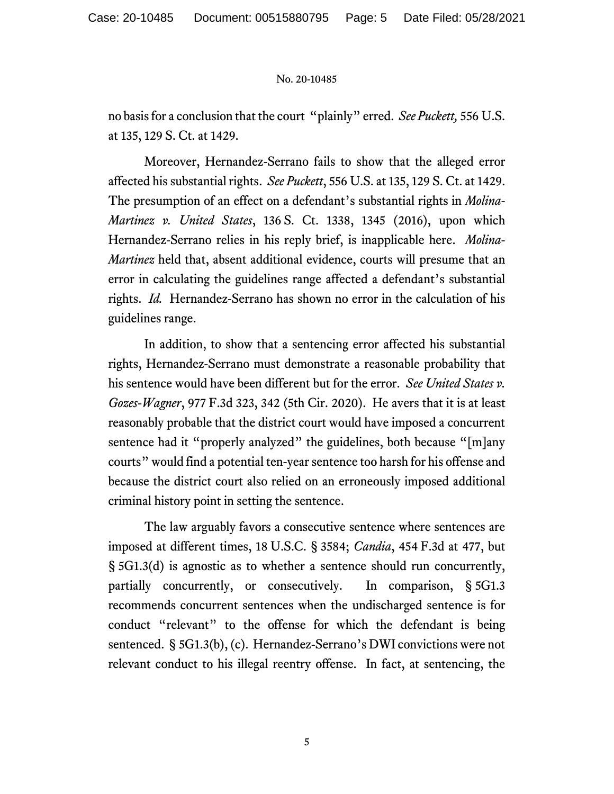no basis for a conclusion that the court "plainly" erred. *See Puckett,* 556 U.S. at 135, 129 S. Ct. at 1429.

Moreover, Hernandez-Serrano fails to show that the alleged error affected his substantial rights. *See Puckett*, 556 U.S. at 135, 129 S. Ct. at 1429. The presumption of an effect on a defendant's substantial rights in *Molina-Martinez v. United States*, 136 S. Ct. 1338, 1345 (2016), upon which Hernandez-Serrano relies in his reply brief, is inapplicable here. *Molina-Martinez* held that, absent additional evidence, courts will presume that an error in calculating the guidelines range affected a defendant's substantial rights. *Id.* Hernandez-Serrano has shown no error in the calculation of his guidelines range.

In addition, to show that a sentencing error affected his substantial rights, Hernandez-Serrano must demonstrate a reasonable probability that his sentence would have been different but for the error. *See United States v. Gozes-Wagner*, 977 F.3d 323, 342 (5th Cir. 2020). He avers that it is at least reasonably probable that the district court would have imposed a concurrent sentence had it "properly analyzed" the guidelines, both because "[m]any courts" would find a potential ten-year sentence too harsh for his offense and because the district court also relied on an erroneously imposed additional criminal history point in setting the sentence.

The law arguably favors a consecutive sentence where sentences are imposed at different times, 18 U.S.C. § 3584; *Candia*, 454 F.3d at 477, but § 5G1.3(d) is agnostic as to whether a sentence should run concurrently, partially concurrently, or consecutively. In comparison, § 5G1.3 recommends concurrent sentences when the undischarged sentence is for conduct "relevant" to the offense for which the defendant is being sentenced. § 5G1.3(b), (c). Hernandez-Serrano's DWI convictions were not relevant conduct to his illegal reentry offense. In fact, at sentencing, the